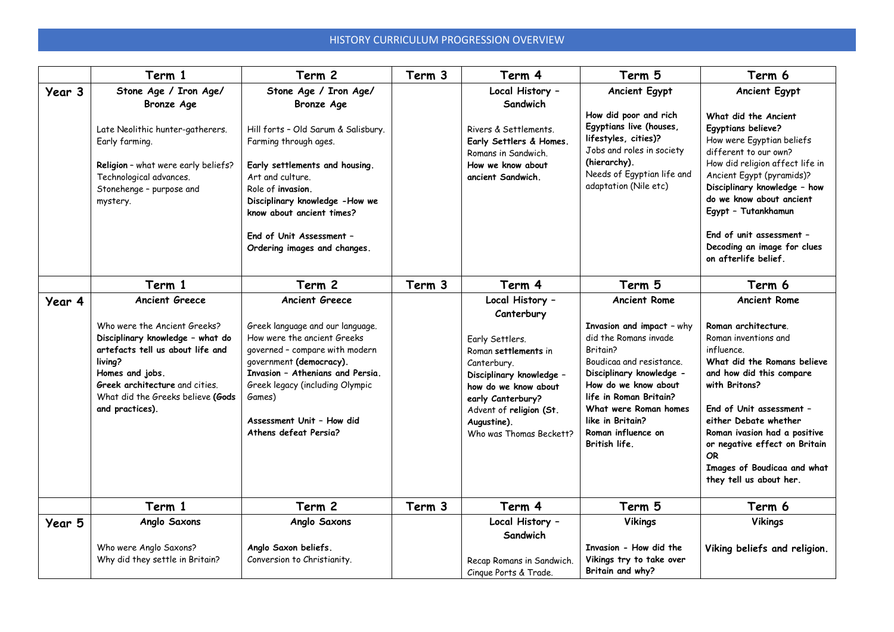## HISTORY CURRICULUM PROGRESSION OVERVIEW

|        | Term 1                                                                                                                                                                                                                                                | Term 2                                                                                                                                                                                                                                                                                                           | Term 3 | Term 4                                                                                                                                                                                                                                | Term 5                                                                                                                                                                                                                                                                              | Term 6                                                                                                                                                                                                                                                                                                                                                         |
|--------|-------------------------------------------------------------------------------------------------------------------------------------------------------------------------------------------------------------------------------------------------------|------------------------------------------------------------------------------------------------------------------------------------------------------------------------------------------------------------------------------------------------------------------------------------------------------------------|--------|---------------------------------------------------------------------------------------------------------------------------------------------------------------------------------------------------------------------------------------|-------------------------------------------------------------------------------------------------------------------------------------------------------------------------------------------------------------------------------------------------------------------------------------|----------------------------------------------------------------------------------------------------------------------------------------------------------------------------------------------------------------------------------------------------------------------------------------------------------------------------------------------------------------|
| Year 3 | Stone Age / Iron Age/<br><b>Bronze Age</b><br>Late Neolithic hunter-gatherers.<br>Early farming.<br>Religion - what were early beliefs?<br>Technological advances.<br>Stonehenge - purpose and<br>mystery.                                            | Stone Age / Iron Age/<br><b>Bronze Age</b><br>Hill forts - Old Sarum & Salisbury.<br>Farming through ages.<br>Early settlements and housing.<br>Art and culture.<br>Role of invasion.<br>Disciplinary knowledge -How we<br>know about ancient times?<br>End of Unit Assessment -<br>Ordering images and changes. |        | Local History -<br>Sandwich<br>Rivers & Settlements.<br>Early Settlers & Homes.<br>Romans in Sandwich.<br>How we know about<br>ancient Sandwich.                                                                                      | <b>Ancient Egypt</b><br>How did poor and rich<br>Egyptians live (houses,<br>lifestyles, cities)?<br>Jobs and roles in society<br>(hierarchy).<br>Needs of Egyptian life and<br>adaptation (Nile etc)                                                                                | <b>Ancient Egypt</b><br>What did the Ancient<br>Egyptians believe?<br>How were Egyptian beliefs<br>different to our own?<br>How did religion affect life in<br>Ancient Egypt (pyramids)?<br>Disciplinary knowledge - how<br>do we know about ancient<br>Egypt - Tutankhamun<br>End of unit assessment -<br>Decoding an image for clues<br>on afterlife belief. |
|        | Term 1                                                                                                                                                                                                                                                | Term 2                                                                                                                                                                                                                                                                                                           | Term 3 | Term 4                                                                                                                                                                                                                                | Term 5                                                                                                                                                                                                                                                                              | Term 6                                                                                                                                                                                                                                                                                                                                                         |
| Year 4 | <b>Ancient Greece</b><br>Who were the Ancient Greeks?<br>Disciplinary knowledge - what do<br>artefacts tell us about life and<br>living?<br>Homes and jobs.<br>Greek architecture and cities.<br>What did the Greeks believe (Gods<br>and practices). | <b>Ancient Greece</b><br>Greek language and our language.<br>How were the ancient Greeks<br>governed - compare with modern<br>government (democracy).<br>Invasion - Athenians and Persia.<br>Greek legacy (including Olympic<br>Games)<br>Assessment Unit - How did<br>Athens defeat Persia?                     |        | Local History -<br>Canterbury<br>Early Settlers.<br>Roman settlements in<br>Canterbury.<br>Disciplinary knowledge -<br>how do we know about<br>early Canterbury?<br>Advent of religion (St.<br>Augustine).<br>Who was Thomas Beckett? | <b>Ancient Rome</b><br>Invasion and impact - why<br>did the Romans invade<br>Britain?<br>Boudicaa and resistance.<br>Disciplinary knowledge -<br>How do we know about<br>life in Roman Britain?<br>What were Roman homes<br>like in Britain?<br>Roman influence on<br>British life. | <b>Ancient Rome</b><br>Roman architecture.<br>Roman inventions and<br>influence.<br>What did the Romans believe<br>and how did this compare<br>with Britons?<br>End of Unit assessment -<br>either Debate whether<br>Roman ivasion had a positive<br>or negative effect on Britain<br>OR.<br>Images of Boudicaa and what<br>they tell us about her.            |
|        | Term 1                                                                                                                                                                                                                                                | Term 2                                                                                                                                                                                                                                                                                                           | Term 3 | Term 4                                                                                                                                                                                                                                | Term 5                                                                                                                                                                                                                                                                              | Term 6                                                                                                                                                                                                                                                                                                                                                         |
| Year 5 | Anglo Saxons<br>Who were Anglo Saxons?<br>Why did they settle in Britain?                                                                                                                                                                             | Anglo Saxons<br>Anglo Saxon beliefs.<br>Conversion to Christianity.                                                                                                                                                                                                                                              |        | Local History -<br>Sandwich<br>Recap Romans in Sandwich.<br>Cinque Ports & Trade.                                                                                                                                                     | <b>Vikings</b><br>Invasion - How did the<br>Vikings try to take over<br>Britain and why?                                                                                                                                                                                            | <b>Vikings</b><br>Viking beliefs and religion.                                                                                                                                                                                                                                                                                                                 |